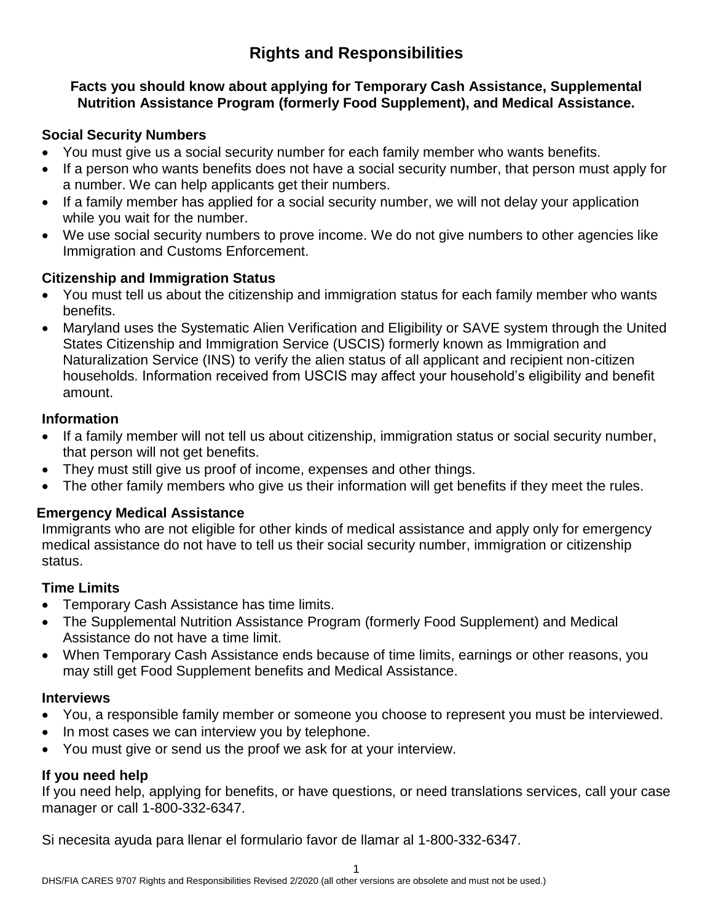# **Rights and Responsibilities**

#### **Facts you should know about applying for Temporary Cash Assistance, Supplemental Nutrition Assistance Program (formerly Food Supplement), and Medical Assistance.**

### **Social Security Numbers**

- You must give us a social security number for each family member who wants benefits.
- If a person who wants benefits does not have a social security number, that person must apply for a number. We can help applicants get their numbers.
- If a family member has applied for a social security number, we will not delay your application while you wait for the number.
- We use social security numbers to prove income. We do not give numbers to other agencies like Immigration and Customs Enforcement.

# **Citizenship and Immigration Status**

- You must tell us about the citizenship and immigration status for each family member who wants benefits.
- Maryland uses the Systematic Alien Verification and Eligibility or SAVE system through the United States Citizenship and Immigration Service (USCIS) formerly known as Immigration and Naturalization Service (INS) to verify the alien status of all applicant and recipient non-citizen households. Information received from USCIS may affect your household's eligibility and benefit amount.

### **Information**

- If a family member will not tell us about citizenship, immigration status or social security number, that person will not get benefits.
- They must still give us proof of income, expenses and other things.
- The other family members who give us their information will get benefits if they meet the rules.

# **Emergency Medical Assistance**

Immigrants who are not eligible for other kinds of medical assistance and apply only for emergency medical assistance do not have to tell us their social security number, immigration or citizenship status.

# **Time Limits**

- Temporary Cash Assistance has time limits.
- The Supplemental Nutrition Assistance Program (formerly Food Supplement) and Medical Assistance do not have a time limit.
- When Temporary Cash Assistance ends because of time limits, earnings or other reasons, you may still get Food Supplement benefits and Medical Assistance.

#### **Interviews**

- You, a responsible family member or someone you choose to represent you must be interviewed.
- In most cases we can interview you by telephone.
- You must give or send us the proof we ask for at your interview.

# **If you need help**

If you need help, applying for benefits, or have questions, or need translations services, call your case manager or call 1-800-332-6347.

Si necesita ayuda para llenar el formulario favor de llamar al 1-800-332-6347.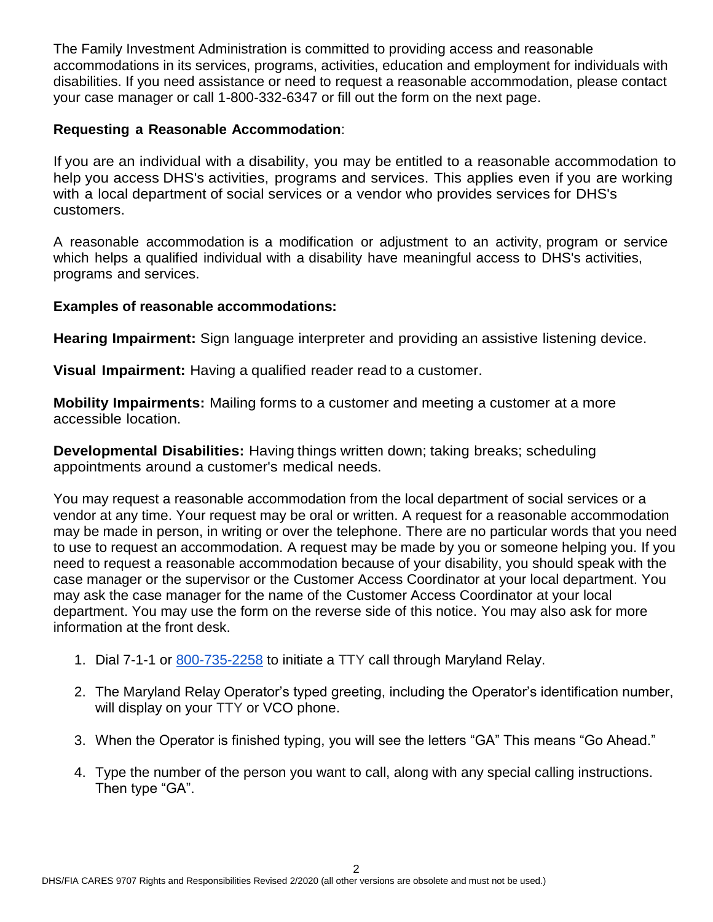The Family Investment Administration is committed to providing access and reasonable accommodations in its services, programs, activities, education and employment for individuals with disabilities. If you need assistance or need to request a reasonable accommodation, please contact your case manager or call 1-800-332-6347 or fill out the form on the next page.

### **Requesting a Reasonable Accommodation**:

If you are an individual with a disability, you may be entitled to a reasonable accommodation to help you access DHS's activities, programs and services. This applies even if you are working with a local department of social services or a vendor who provides services for DHS's customers.

A reasonable accommodation is a modification or adjustment to an activity, program or service which helps a qualified individual with a disability have meaningful access to DHS's activities, programs and services.

#### **Examples of reasonable accommodations:**

**Hearing Impairment:** Sign language interpreter and providing an assistive listening device.

**Visual Impairment:** Having a qualified reader read to a customer.

**Mobility Impairments:** Mailing forms to a customer and meeting a customer at a more accessible location.

**Developmental Disabilities:** Having things written down; taking breaks; scheduling appointments around a customer's medical needs.

You may request a reasonable accommodation from the local department of social services or a vendor at any time. Your request may be oral or written. A request for a reasonable accommodation may be made in person, in writing or over the telephone. There are no particular words that you need to use to request an accommodation. A request may be made by you or someone helping you. If you need to request a reasonable accommodation because of your disability, you should speak with the case manager or the supervisor or the Customer Access Coordinator at your local department. You may ask the case manager for the name of the Customer Access Coordinator at your local department. You may use the form on the reverse side of this notice. You may also ask for more information at the front desk.

- 1. Dial 7-1-1 or [800-735-2258](tel:800-735-2258) to initiate a TTY call through Maryland Relay.
- 2. The Maryland Relay Operator's typed greeting, including the Operator's identification number, will display on your TTY or VCO phone.
- 3. When the Operator is finished typing, you will see the letters "GA" This means "Go Ahead."
- 4. Type the number of the person you want to call, along with any special calling instructions. Then type "GA".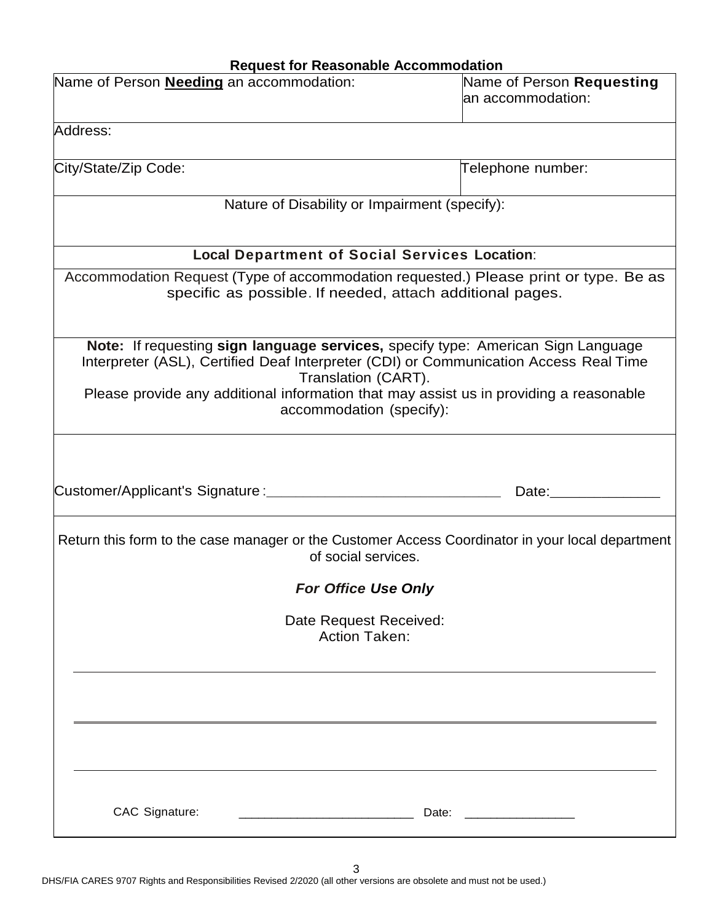# **Request for Reasonable Accommodation**

| Name of Person <b>Needing</b> an accommodation:                                                                                                                                                                                                                                                                        | Name of Person Requesting<br>an accommodation: |  |  |
|------------------------------------------------------------------------------------------------------------------------------------------------------------------------------------------------------------------------------------------------------------------------------------------------------------------------|------------------------------------------------|--|--|
| Address:                                                                                                                                                                                                                                                                                                               |                                                |  |  |
| City/State/Zip Code:                                                                                                                                                                                                                                                                                                   | Telephone number:                              |  |  |
| Nature of Disability or Impairment (specify):                                                                                                                                                                                                                                                                          |                                                |  |  |
| <b>Local Department of Social Services Location:</b>                                                                                                                                                                                                                                                                   |                                                |  |  |
| Accommodation Request (Type of accommodation requested.) Please print or type. Be as<br>specific as possible. If needed, attach additional pages.                                                                                                                                                                      |                                                |  |  |
| Note: If requesting sign language services, specify type: American Sign Language<br>Interpreter (ASL), Certified Deaf Interpreter (CDI) or Communication Access Real Time<br>Translation (CART).<br>Please provide any additional information that may assist us in providing a reasonable<br>accommodation (specify): |                                                |  |  |
|                                                                                                                                                                                                                                                                                                                        | Date: http://www.facebook.com/                 |  |  |
| Return this form to the case manager or the Customer Access Coordinator in your local department<br>of social services.                                                                                                                                                                                                |                                                |  |  |
| <b>For Office Use Only</b>                                                                                                                                                                                                                                                                                             |                                                |  |  |
| Date Request Received:<br><b>Action Taken:</b>                                                                                                                                                                                                                                                                         |                                                |  |  |
|                                                                                                                                                                                                                                                                                                                        |                                                |  |  |
|                                                                                                                                                                                                                                                                                                                        |                                                |  |  |
| CAC Signature:<br>Date:                                                                                                                                                                                                                                                                                                |                                                |  |  |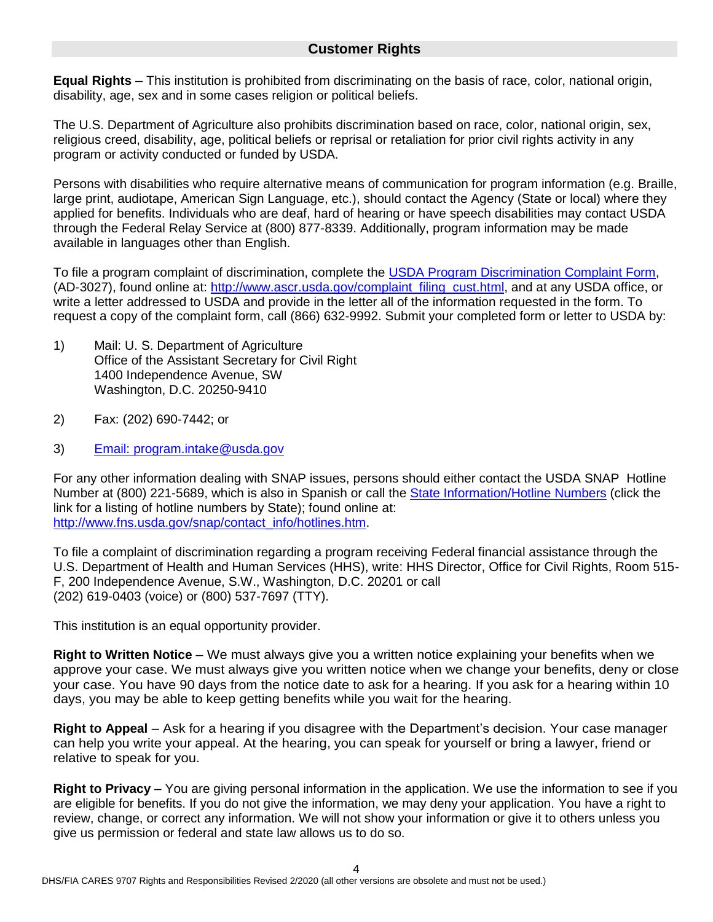#### **Customer Rights**

**Equal Rights** – This institution is prohibited from discriminating on the basis of race, color, national origin, disability, age, sex and in some cases religion or political beliefs.

The U.S. Department of Agriculture also prohibits discrimination based on race, color, national origin, sex, religious creed, disability, age, political beliefs or reprisal or retaliation for prior civil rights activity in any program or activity conducted or funded by USDA.

Persons with disabilities who require alternative means of communication for program information (e.g. Braille, large print, audiotape, American Sign Language, etc.), should contact the Agency (State or local) where they applied for benefits. Individuals who are deaf, hard of hearing or have speech disabilities may contact USDA through the Federal Relay Service at (800) 877-8339. Additionally, program information may be made available in languages other than English.

To file a program complaint of discrimination, complete the [USDA Program Discrimination Complaint Form,](http://www.ocio.usda.gov/sites/default/files/docs/2012/Complain_combined_6_8_12.pdf) (AD-3027), found online at: [http://www.ascr.usda.gov/complaint\\_filing\\_cust.html,](http://www.ascr.usda.gov/complaint_filing_cust.html) and at any USDA office, or write a letter addressed to USDA and provide in the letter all of the information requested in the form. To request a copy of the complaint form, call (866) 632-9992. Submit your completed form or letter to USDA by:

- 1) Mail: U. S. Department of Agriculture Office of the Assistant Secretary for Civil Right 1400 Independence Avenue, SW Washington, D.C. 20250-9410
- 2) Fax: (202) 690-7442; or
- 3) Email: program.intake@usda.gov

For any other information dealing with SNAP issues, persons should either contact the USDA SNAP Hotline Number at (800) 221-5689, which is also in Spanish or call the **State Information/Hotline Numbers** (click the link for a listing of hotline numbers by State); found online at: [http://www.fns.usda.gov/snap/contact\\_info/hotlines.htm.](http://www.fns.usda.gov/snap/contact_info/hotlines.htm)

To file a complaint of discrimination regarding a program receiving Federal financial assistance through the U.S. Department of Health and Human Services (HHS), write: HHS Director, Office for Civil Rights, Room 515- F, 200 Independence Avenue, S.W., Washington, D.C. 20201 or call (202) 619-0403 (voice) or (800) 537-7697 (TTY).

This institution is an equal opportunity provider.

**Right to Written Notice** – We must always give you a written notice explaining your benefits when we approve your case. We must always give you written notice when we change your benefits, deny or close your case. You have 90 days from the notice date to ask for a hearing. If you ask for a hearing within 10 days, you may be able to keep getting benefits while you wait for the hearing.

**Right to Appeal** – Ask for a hearing if you disagree with the Department's decision. Your case manager can help you write your appeal. At the hearing, you can speak for yourself or bring a lawyer, friend or relative to speak for you.

**Right to Privacy** – You are giving personal information in the application. We use the information to see if you are eligible for benefits. If you do not give the information, we may deny your application. You have a right to review, change, or correct any information. We will not show your information or give it to others unless you give us permission or federal and state law allows us to do so.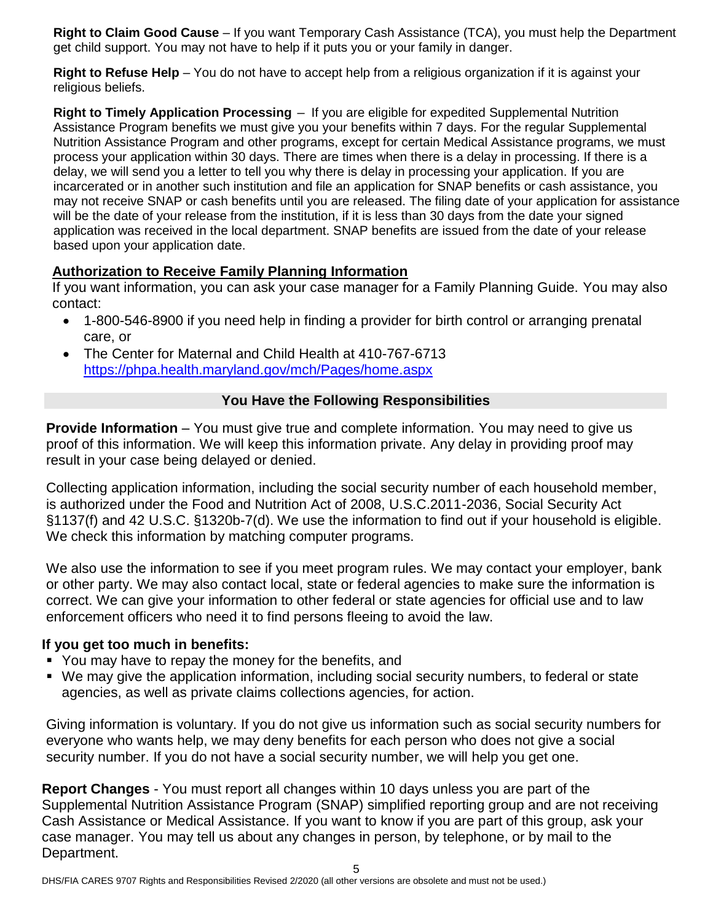**Right to Claim Good Cause** – If you want Temporary Cash Assistance (TCA), you must help the Department get child support. You may not have to help if it puts you or your family in danger.

**Right to Refuse Help** – You do not have to accept help from a religious organization if it is against your religious beliefs.

**Right to Timely Application Processing** – If you are eligible for expedited Supplemental Nutrition Assistance Program benefits we must give you your benefits within 7 days. For the regular Supplemental Nutrition Assistance Program and other programs, except for certain Medical Assistance programs, we must process your application within 30 days. There are times when there is a delay in processing. If there is a delay, we will send you a letter to tell you why there is delay in processing your application. If you are incarcerated or in another such institution and file an application for SNAP benefits or cash assistance, you may not receive SNAP or cash benefits until you are released. The filing date of your application for assistance will be the date of your release from the institution, if it is less than 30 days from the date your signed application was received in the local department. SNAP benefits are issued from the date of your release based upon your application date.

# **Authorization to Receive Family Planning Information**

If you want information, you can ask your case manager for a Family Planning Guide. You may also contact:

- 1-800-546-8900 if you need help in finding a provider for birth control or arranging prenatal care, or
- The Center for Maternal and Child Health at 410-767-6713 <https://phpa.health.maryland.gov/mch/Pages/home.aspx>

# **You Have the Following Responsibilities**

**Provide Information** – You must give true and complete information. You may need to give us proof of this information. We will keep this information private. Any delay in providing proof may result in your case being delayed or denied.

Collecting application information, including the social security number of each household member, is authorized under the Food and Nutrition Act of 2008, U.S.C.2011-2036, Social Security Act §1137(f) and 42 U.S.C. §1320b-7(d). We use the information to find out if your household is eligible. We check this information by matching computer programs.

We also use the information to see if you meet program rules. We may contact your employer, bank or other party. We may also contact local, state or federal agencies to make sure the information is correct. We can give your information to other federal or state agencies for official use and to law enforcement officers who need it to find persons fleeing to avoid the law.

# **If you get too much in benefits:**

- You may have to repay the money for the benefits, and
- We may give the application information, including social security numbers, to federal or state agencies, as well as private claims collections agencies, for action.

Giving information is voluntary. If you do not give us information such as social security numbers for everyone who wants help, we may deny benefits for each person who does not give a social security number. If you do not have a social security number, we will help you get one.

**Report Changes** - You must report all changes within 10 days unless you are part of the Supplemental Nutrition Assistance Program (SNAP) simplified reporting group and are not receiving Cash Assistance or Medical Assistance. If you want to know if you are part of this group, ask your case manager. You may tell us about any changes in person, by telephone, or by mail to the Department.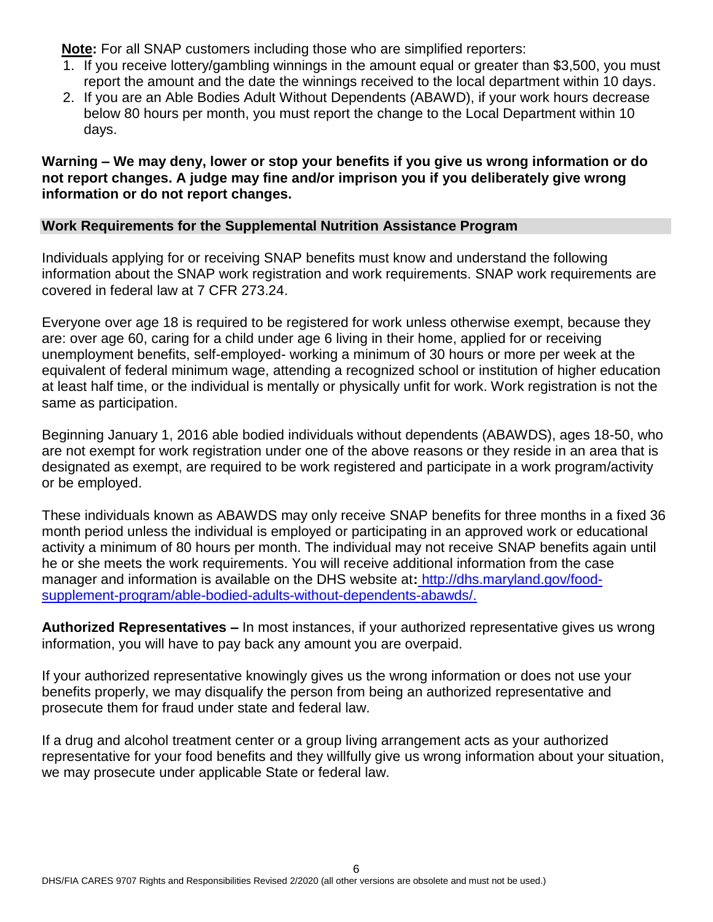**Note:** For all SNAP customers including those who are simplified reporters:

- 1. If you receive lottery/gambling winnings in the amount equal or greater than \$3,500, you must report the amount and the date the winnings received to the local department within 10 days.
- 2. If you are an Able Bodies Adult Without Dependents (ABAWD), if your work hours decrease below 80 hours per month, you must report the change to the Local Department within 10 days.

#### **Warning – We may deny, lower or stop your benefits if you give us wrong information or do not report changes. A judge may fine and/or imprison you if you deliberately give wrong information or do not report changes.**

### **Work Requirements for the Supplemental Nutrition Assistance Program**

Individuals applying for or receiving SNAP benefits must know and understand the following information about the SNAP work registration and work requirements. SNAP work requirements are covered in federal law at 7 CFR 273.24.

Everyone over age 18 is required to be registered for work unless otherwise exempt, because they are: over age 60, caring for a child under age 6 living in their home, applied for or receiving unemployment benefits, self-employed- working a minimum of 30 hours or more per week at the equivalent of federal minimum wage, attending a recognized school or institution of higher education at least half time, or the individual is mentally or physically unfit for work. Work registration is not the same as participation.

Beginning January 1, 2016 able bodied individuals without dependents (ABAWDS), ages 18-50, who are not exempt for work registration under one of the above reasons or they reside in an area that is designated as exempt, are required to be work registered and participate in a work program/activity or be employed.

These individuals known as ABAWDS may only receive SNAP benefits for three months in a fixed 36 month period unless the individual is employed or participating in an approved work or educational activity a minimum of 80 hours per month. The individual may not receive SNAP benefits again until he or she meets the work requirements. You will receive additional information from the case manager and information is available on the DHS website at**:** http://dhs.maryland.gov/foodsupplement-program/able-bodied-adults-without-dependents-abawds/.

**Authorized Representatives –** In most instances, if your authorized representative gives us wrong information, you will have to pay back any amount you are overpaid.

If your authorized representative knowingly gives us the wrong information or does not use your benefits properly, we may disqualify the person from being an authorized representative and prosecute them for fraud under state and federal law.

If a drug and alcohol treatment center or a group living arrangement acts as your authorized representative for your food benefits and they willfully give us wrong information about your situation, we may prosecute under applicable State or federal law.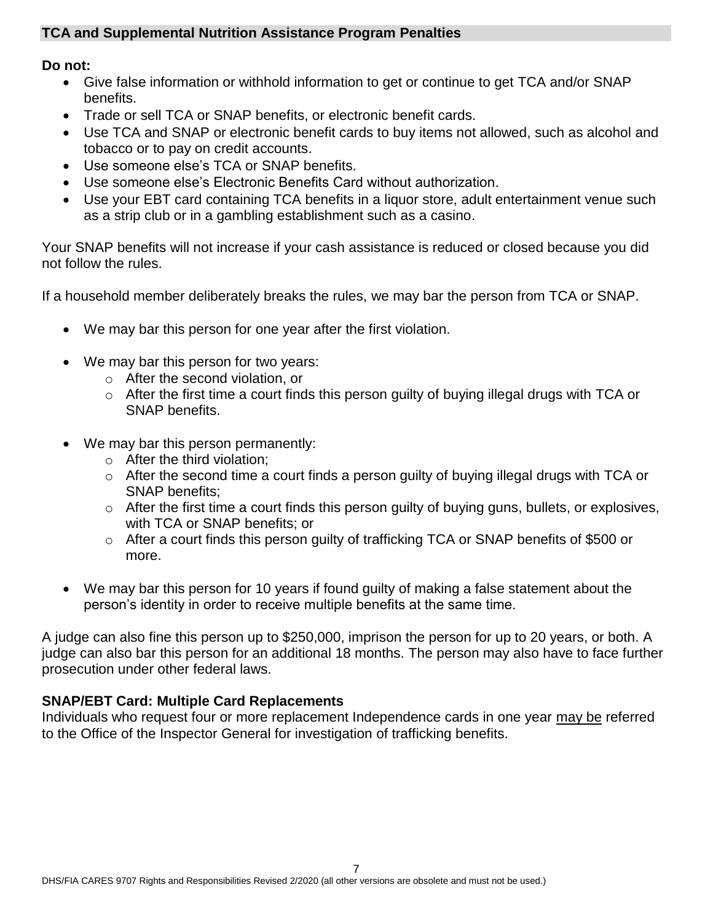### **TCA and Supplemental Nutrition Assistance Program Penalties**

#### **Do not:**

- Give false information or withhold information to get or continue to get TCA and/or SNAP benefits.
- Trade or sell TCA or SNAP benefits, or electronic benefit cards.
- Use TCA and SNAP or electronic benefit cards to buy items not allowed, such as alcohol and tobacco or to pay on credit accounts.
- Use someone else's TCA or SNAP benefits.
- Use someone else's Electronic Benefits Card without authorization.
- Use your EBT card containing TCA benefits in a liquor store, adult entertainment venue such as a strip club or in a gambling establishment such as a casino.

Your SNAP benefits will not increase if your cash assistance is reduced or closed because you did not follow the rules.

If a household member deliberately breaks the rules, we may bar the person from TCA or SNAP.

- We may bar this person for one year after the first violation.
- We may bar this person for two years:
	- o After the second violation, or
	- o After the first time a court finds this person guilty of buying illegal drugs with TCA or SNAP benefits.
- We may bar this person permanently:
	- o After the third violation;
	- o After the second time a court finds a person guilty of buying illegal drugs with TCA or SNAP benefits;
	- o After the first time a court finds this person guilty of buying guns, bullets, or explosives, with TCA or SNAP benefits; or
	- o After a court finds this person guilty of trafficking TCA or SNAP benefits of \$500 or more.
- We may bar this person for 10 years if found guilty of making a false statement about the person's identity in order to receive multiple benefits at the same time.

A judge can also fine this person up to \$250,000, imprison the person for up to 20 years, or both. A judge can also bar this person for an additional 18 months. The person may also have to face further prosecution under other federal laws.

# **SNAP/EBT Card: Multiple Card Replacements**

Individuals who request four or more replacement Independence cards in one year may be referred to the Office of the Inspector General for investigation of trafficking benefits.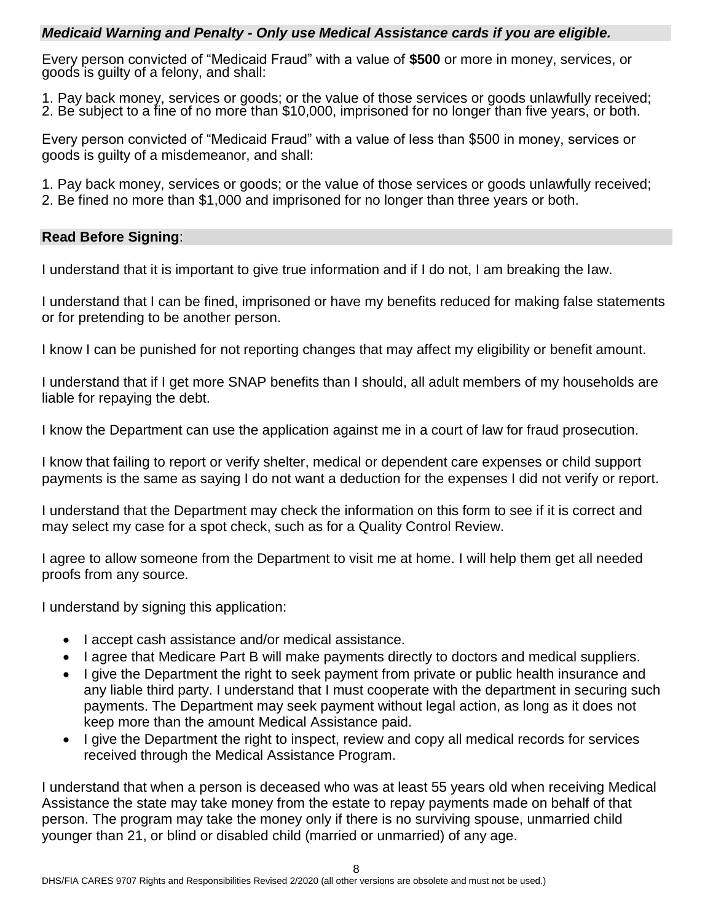#### *Medicaid Warning and Penalty - Only use Medical Assistance cards if you are eligible.*

Every person convicted of "Medicaid Fraud" with a value of **\$500** or more in money, services, or goods is guilty of a felony, and shall:

1. Pay back money, services or goods; or the value of those services or goods unlawfully received; 2. Be subject to a fine of no more than \$10,000, imprisoned for no longer than five years, or both.

Every person convicted of "Medicaid Fraud" with a value of less than \$500 in money, services or goods is guilty of a misdemeanor, and shall:

1. Pay back money, services or goods; or the value of those services or goods unlawfully received;

2. Be fined no more than \$1,000 and imprisoned for no longer than three years or both.

# **Read Before Signing**:

I understand that it is important to give true information and if I do not, I am breaking the law.

I understand that I can be fined, imprisoned or have my benefits reduced for making false statements or for pretending to be another person.

I know I can be punished for not reporting changes that may affect my eligibility or benefit amount.

I understand that if I get more SNAP benefits than I should, all adult members of my households are liable for repaying the debt.

I know the Department can use the application against me in a court of law for fraud prosecution.

I know that failing to report or verify shelter, medical or dependent care expenses or child support payments is the same as saying I do not want a deduction for the expenses I did not verify or report.

I understand that the Department may check the information on this form to see if it is correct and may select my case for a spot check, such as for a Quality Control Review.

I agree to allow someone from the Department to visit me at home. I will help them get all needed proofs from any source.

I understand by signing this application:

- I accept cash assistance and/or medical assistance.
- I agree that Medicare Part B will make payments directly to doctors and medical suppliers.
- I give the Department the right to seek payment from private or public health insurance and any liable third party. I understand that I must cooperate with the department in securing such payments. The Department may seek payment without legal action, as long as it does not keep more than the amount Medical Assistance paid.
- I give the Department the right to inspect, review and copy all medical records for services received through the Medical Assistance Program.

I understand that when a person is deceased who was at least 55 years old when receiving Medical Assistance the state may take money from the estate to repay payments made on behalf of that person. The program may take the money only if there is no surviving spouse, unmarried child younger than 21, or blind or disabled child (married or unmarried) of any age.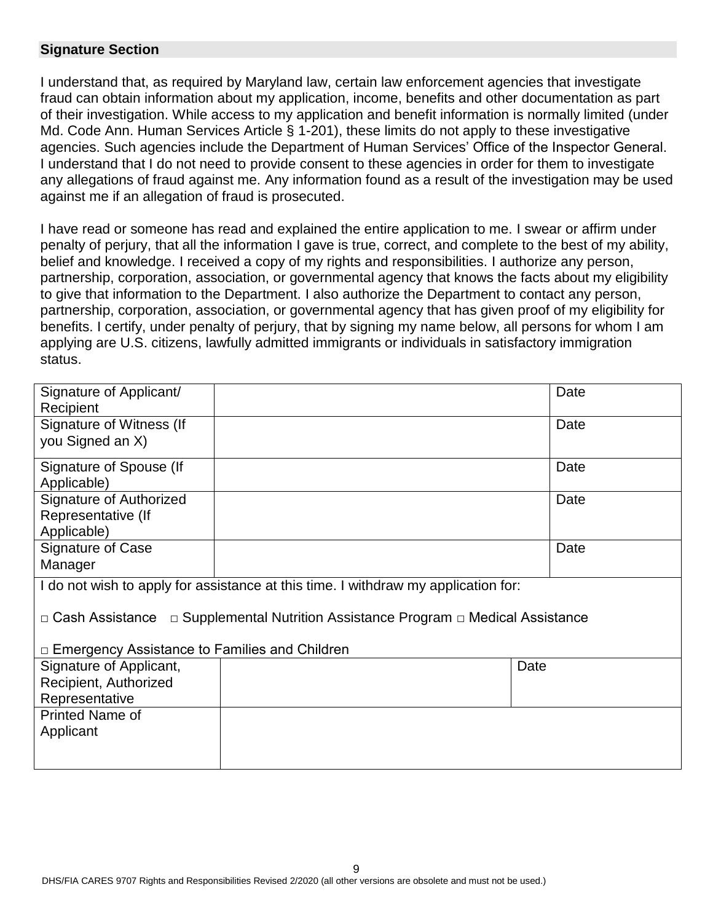#### **Signature Section**

I understand that, as required by Maryland law, certain law enforcement agencies that investigate fraud can obtain information about my application, income, benefits and other documentation as part of their investigation. While access to my application and benefit information is normally limited (under Md. Code Ann. Human Services Article § 1-201), these limits do not apply to these investigative agencies. Such agencies include the Department of Human Services' Office of the Inspector General. I understand that I do not need to provide consent to these agencies in order for them to investigate any allegations of fraud against me. Any information found as a result of the investigation may be used against me if an allegation of fraud is prosecuted.

I have read or someone has read and explained the entire application to me. I swear or affirm under penalty of perjury, that all the information I gave is true, correct, and complete to the best of my ability, belief and knowledge. I received a copy of my rights and responsibilities. I authorize any person, partnership, corporation, association, or governmental agency that knows the facts about my eligibility to give that information to the Department. I also authorize the Department to contact any person, partnership, corporation, association, or governmental agency that has given proof of my eligibility for benefits. I certify, under penalty of perjury, that by signing my name below, all persons for whom I am applying are U.S. citizens, lawfully admitted immigrants or individuals in satisfactory immigration status.

| Signature of Applicant/                                                            |  | Date |  |
|------------------------------------------------------------------------------------|--|------|--|
| Recipient                                                                          |  |      |  |
| Signature of Witness (If                                                           |  | Date |  |
| you Signed an X)                                                                   |  |      |  |
| Signature of Spouse (If                                                            |  | Date |  |
| Applicable)                                                                        |  |      |  |
| Signature of Authorized                                                            |  | Date |  |
| Representative (If                                                                 |  |      |  |
| Applicable)                                                                        |  |      |  |
| <b>Signature of Case</b>                                                           |  | Date |  |
| Manager                                                                            |  |      |  |
| I do not wish to apply for assistance at this time. I withdraw my application for: |  |      |  |
| □ Cash Assistance □ Supplemental Nutrition Assistance Program □ Medical Assistance |  |      |  |
|                                                                                    |  |      |  |
| $\Box$ Emergency Assistance to Families and Children                               |  |      |  |
| Signature of Applicant,                                                            |  | Date |  |
| Recipient, Authorized                                                              |  |      |  |
| Representative                                                                     |  |      |  |
| <b>Printed Name of</b>                                                             |  |      |  |
| Applicant                                                                          |  |      |  |
|                                                                                    |  |      |  |
|                                                                                    |  |      |  |